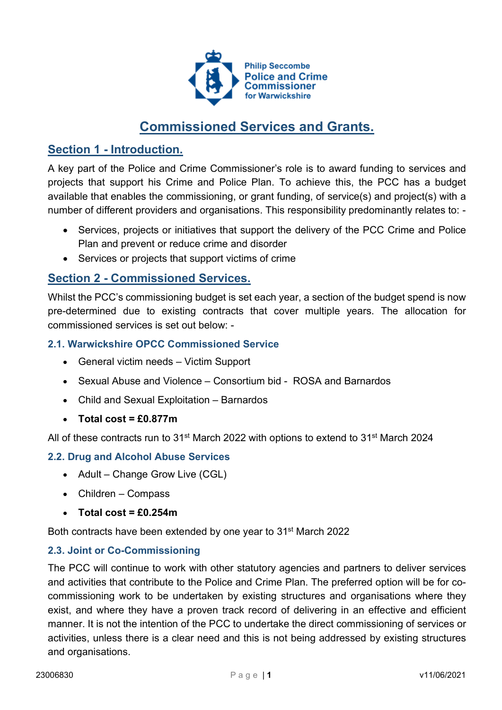

# Commissioned Services and Grants.

# Section 1 - Introduction.

A key part of the Police and Crime Commissioner's role is to award funding to services and projects that support his Crime and Police Plan. To achieve this, the PCC has a budget available that enables the commissioning, or grant funding, of service(s) and project(s) with a number of different providers and organisations. This responsibility predominantly relates to: -

- Services, projects or initiatives that support the delivery of the PCC Crime and Police Plan and prevent or reduce crime and disorder
- Services or projects that support victims of crime

# Section 2 - Commissioned Services.

Whilst the PCC's commissioning budget is set each year, a section of the budget spend is now pre-determined due to existing contracts that cover multiple years. The allocation for commissioned services is set out below: -

### 2.1. Warwickshire OPCC Commissioned Service

- General victim needs Victim Support
- Sexual Abuse and Violence Consortium bid ROSA and Barnardos
- Child and Sexual Exploitation Barnardos
- $\bullet$  Total cost = £0.877m

All of these contracts run to 31<sup>st</sup> March 2022 with options to extend to 31<sup>st</sup> March 2024

## 2.2. Drug and Alcohol Abuse Services

- Adult Change Grow Live (CGL)
- Children Compass
- $\bullet$  Total cost = £0.254m

Both contracts have been extended by one year to 31<sup>st</sup> March 2022

## 2.3. Joint or Co-Commissioning

The PCC will continue to work with other statutory agencies and partners to deliver services and activities that contribute to the Police and Crime Plan. The preferred option will be for cocommissioning work to be undertaken by existing structures and organisations where they exist, and where they have a proven track record of delivering in an effective and efficient manner. It is not the intention of the PCC to undertake the direct commissioning of services or activities, unless there is a clear need and this is not being addressed by existing structures and organisations.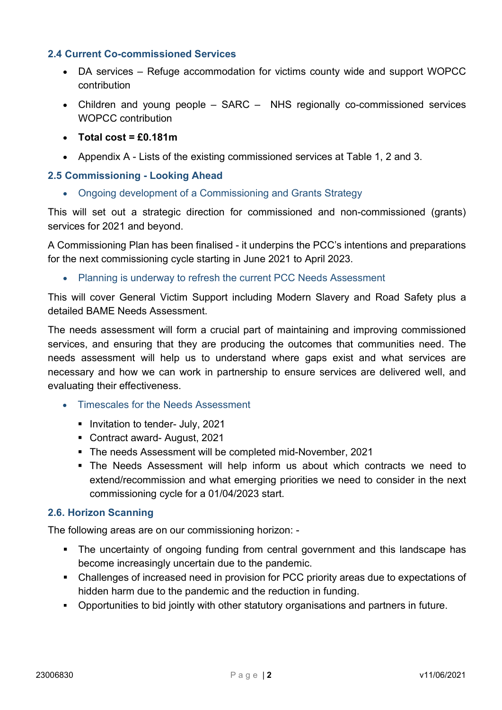### 2.4 Current Co-commissioned Services

- DA services Refuge accommodation for victims county wide and support WOPCC contribution
- Children and young people SARC NHS regionally co-commissioned services WOPCC contribution
- $\bullet$  Total cost = £0.181m
- Appendix A Lists of the existing commissioned services at Table 1, 2 and 3.

#### 2.5 Commissioning - Looking Ahead

• Ongoing development of a Commissioning and Grants Strategy

This will set out a strategic direction for commissioned and non-commissioned (grants) services for 2021 and beyond.

A Commissioning Plan has been finalised - it underpins the PCC's intentions and preparations for the next commissioning cycle starting in June 2021 to April 2023.

• Planning is underway to refresh the current PCC Needs Assessment

This will cover General Victim Support including Modern Slavery and Road Safety plus a detailed BAME Needs Assessment.

The needs assessment will form a crucial part of maintaining and improving commissioned services, and ensuring that they are producing the outcomes that communities need. The needs assessment will help us to understand where gaps exist and what services are necessary and how we can work in partnership to ensure services are delivered well, and evaluating their effectiveness.

- Timescales for the Needs Assessment
	- **Invitation to tender- July, 2021**
	- Contract award- August, 2021
	- The needs Assessment will be completed mid-November, 2021
	- The Needs Assessment will help inform us about which contracts we need to extend/recommission and what emerging priorities we need to consider in the next commissioning cycle for a 01/04/2023 start.

#### 2.6. Horizon Scanning

The following areas are on our commissioning horizon: -

- The uncertainty of ongoing funding from central government and this landscape has become increasingly uncertain due to the pandemic.
- Challenges of increased need in provision for PCC priority areas due to expectations of hidden harm due to the pandemic and the reduction in funding.
- Opportunities to bid jointly with other statutory organisations and partners in future.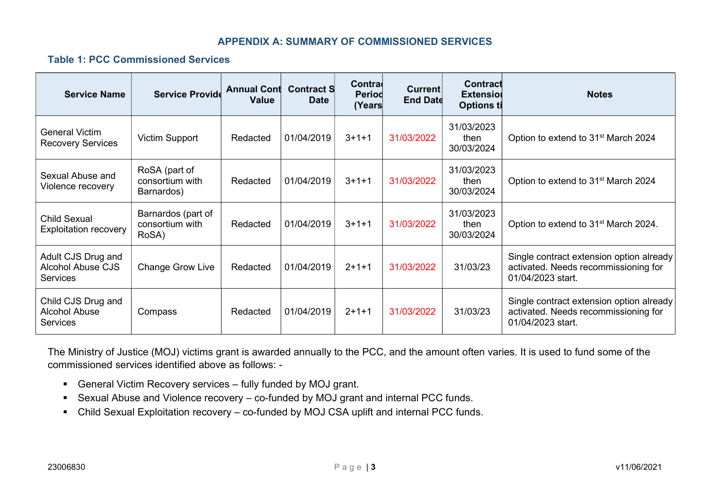#### APPENDIX A: SUMMARY OF COMMISSIONED SERVICES

#### Table 1: PCC Commissioned Services

| <b>Service Name</b>                                               | <b>Service Provide</b>                         | <b>Annual Cont</b><br><b>Value</b> | <b>Contract S</b><br><b>Date</b> | Contra<br>Period<br>(Years∣ | <b>Current</b><br><b>End Date</b> | Contract<br><b>Extensiol</b><br><b>Options ti</b> | <b>Notes</b>                                                                                          |
|-------------------------------------------------------------------|------------------------------------------------|------------------------------------|----------------------------------|-----------------------------|-----------------------------------|---------------------------------------------------|-------------------------------------------------------------------------------------------------------|
| General Victim<br><b>Recovery Services</b>                        | Victim Support                                 | Redacted                           | 01/04/2019                       | $3 + 1 + 1$                 | 31/03/2022                        | 31/03/2023<br>then<br>30/03/2024                  | Option to extend to 31 <sup>st</sup> March 2024                                                       |
| Sexual Abuse and<br>Violence recovery                             | RoSA (part of<br>consortium with<br>Barnardos) | Redacted                           | 01/04/2019                       | $3 + 1 + 1$                 | 31/03/2022                        | 31/03/2023<br>then<br>30/03/2024                  | Option to extend to 31 <sup>st</sup> March 2024                                                       |
| Child Sexual<br><b>Exploitation recovery</b>                      | Barnardos (part of<br>consortium with<br>RoSA) | Redacted                           | 01/04/2019                       | $3 + 1 + 1$                 | 31/03/2022                        | 31/03/2023<br>then<br>30/03/2024                  | Option to extend to 31 <sup>st</sup> March 2024.                                                      |
| Adult CJS Drug and<br><b>Alcohol Abuse CJS</b><br><b>Services</b> | <b>Change Grow Live</b>                        | Redacted                           | 01/04/2019                       | $2+1+1$                     | 31/03/2022                        | 31/03/23                                          | Single contract extension option already<br>activated. Needs recommissioning for<br>01/04/2023 start. |
| Child CJS Drug and<br><b>Alcohol Abuse</b><br><b>Services</b>     | Compass                                        | Redacted                           | 01/04/2019                       | $2+1+1$                     | 31/03/2022                        | 31/03/23                                          | Single contract extension option already<br>activated. Needs recommissioning for<br>01/04/2023 start. |

The Ministry of Justice (MOJ) victims grant is awarded annually to the PCC, and the amount often varies. It is used to fund some of the commissioned services identified above as follows: -

- General Victim Recovery services fully funded by MOJ grant.
- Sexual Abuse and Violence recovery co-funded by MOJ grant and internal PCC funds.
- Child Sexual Exploitation recovery co-funded by MOJ CSA uplift and internal PCC funds.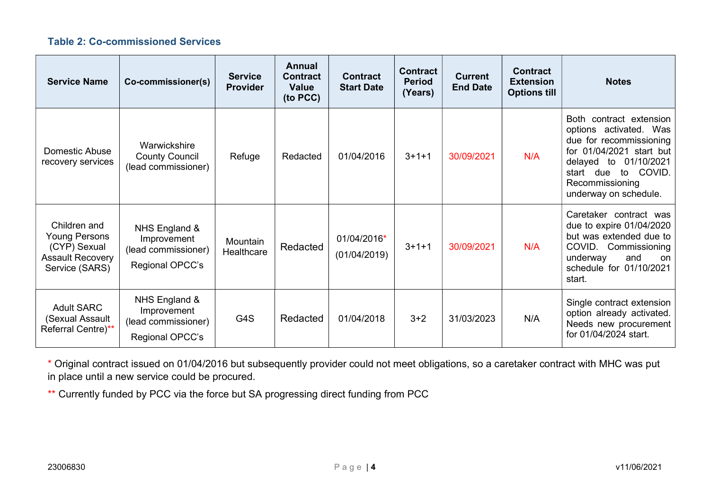## Table 2: Co-commissioned Services

| <b>Service Name</b>                                                                               | Co-commissioner(s)                                                     | <b>Service</b><br><b>Provider</b> | Annual<br><b>Contract</b><br><b>Value</b><br>(to PCC) | <b>Contract</b><br><b>Start Date</b> | <b>Contract</b><br><b>Period</b><br>(Years) | <b>Current</b><br><b>End Date</b> | <b>Contract</b><br><b>Extension</b><br><b>Options till</b> | <b>Notes</b>                                                                                                                                                                                                               |
|---------------------------------------------------------------------------------------------------|------------------------------------------------------------------------|-----------------------------------|-------------------------------------------------------|--------------------------------------|---------------------------------------------|-----------------------------------|------------------------------------------------------------|----------------------------------------------------------------------------------------------------------------------------------------------------------------------------------------------------------------------------|
| Domestic Abuse<br>recovery services                                                               | Warwickshire<br><b>County Council</b><br>(lead commissioner)           | Refuge                            | Redacted                                              | 01/04/2016                           | $3 + 1 + 1$                                 | 30/09/2021                        | N/A                                                        | <b>Both</b><br>contract extension<br>options activated. Was<br>due for recommissioning<br>01/04/2021 start but<br>for<br>01/10/2021<br>delayed to<br>COVID.<br>start due<br>to<br>Recommissioning<br>underway on schedule. |
| Children and<br><b>Young Persons</b><br>(CYP) Sexual<br><b>Assault Recovery</b><br>Service (SARS) | NHS England &<br>Improvement<br>(lead commissioner)<br>Regional OPCC's | Mountain<br>Healthcare            | Redacted                                              | 01/04/2016*<br>(01/04/2019)          | $3 + 1 + 1$                                 | 30/09/2021                        | N/A                                                        | Caretaker contract was<br>due to expire 01/04/2020<br>but was extended due to<br>COVID.<br>Commissioning<br>underway<br>and<br>on.<br>schedule for 01/10/2021<br>start.                                                    |
| <b>Adult SARC</b><br>(Sexual Assault<br>Referral Centre)**                                        | NHS England &<br>Improvement<br>(lead commissioner)<br>Regional OPCC's | G4S                               | Redacted                                              | 01/04/2018                           | $3 + 2$                                     | 31/03/2023                        | N/A                                                        | Single contract extension<br>option already activated.<br>Needs new procurement<br>for 01/04/2024 start.                                                                                                                   |

\* Original contract issued on 01/04/2016 but subsequently provider could not meet obligations, so a caretaker contract with MHC was put in place until a new service could be procured.

\*\* Currently funded by PCC via the force but SA progressing direct funding from PCC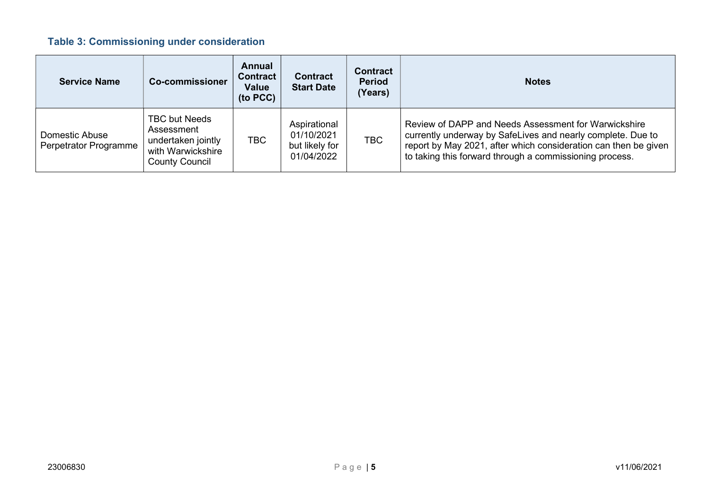# Table 3: Commissioning under consideration

| <b>Service Name</b>                            | <b>Co-commissioner</b>                                                                                 | Annual<br><b>Contract</b><br>Value<br>(to PCC) | <b>Contract</b><br><b>Start Date</b>                       | <b>Contract</b><br><b>Period</b><br>(Years) | <b>Notes</b>                                                                                                                                                                                                                                      |
|------------------------------------------------|--------------------------------------------------------------------------------------------------------|------------------------------------------------|------------------------------------------------------------|---------------------------------------------|---------------------------------------------------------------------------------------------------------------------------------------------------------------------------------------------------------------------------------------------------|
| <b>Domestic Abuse</b><br>Perpetrator Programme | <b>TBC but Needs</b><br>Assessment<br>undertaken jointly<br>with Warwickshire<br><b>County Council</b> | <b>TBC</b>                                     | Aspirational<br>01/10/2021<br>but likely for<br>01/04/2022 | <b>TBC</b>                                  | Review of DAPP and Needs Assessment for Warwickshire<br>currently underway by SafeLives and nearly complete. Due to<br>report by May 2021, after which consideration can then be given<br>to taking this forward through a commissioning process. |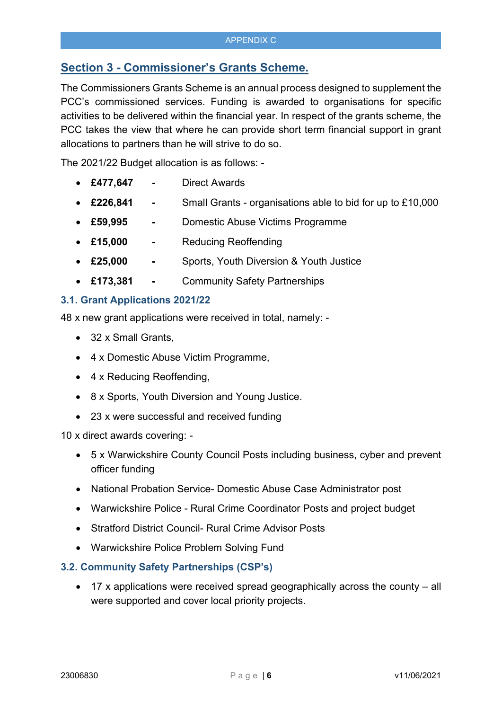# Section 3 - Commissioner's Grants Scheme.

The Commissioners Grants Scheme is an annual process designed to supplement the PCC's commissioned services. Funding is awarded to organisations for specific activities to be delivered within the financial year. In respect of the grants scheme, the PCC takes the view that where he can provide short term financial support in grant allocations to partners than he will strive to do so.

The 2021/22 Budget allocation is as follows: -

- £477,647 Direct Awards
- £226,841 Small Grants organisations able to bid for up to £10,000
- £59,995 Domestic Abuse Victims Programme
- £15,000 Reducing Reoffending
- £25,000 Sports, Youth Diversion & Youth Justice
- £173,381 Community Safety Partnerships

#### 3.1. Grant Applications 2021/22

48 x new grant applications were received in total, namely: -

- 32 x Small Grants,
- 4 x Domestic Abuse Victim Programme,
- 4 x Reducing Reoffending,
- 8 x Sports, Youth Diversion and Young Justice.
- 23 x were successful and received funding

10 x direct awards covering: -

- 5 x Warwickshire County Council Posts including business, cyber and prevent officer funding
- National Probation Service- Domestic Abuse Case Administrator post
- Warwickshire Police Rural Crime Coordinator Posts and project budget
- Stratford District Council- Rural Crime Advisor Posts
- Warwickshire Police Problem Solving Fund

#### 3.2. Community Safety Partnerships (CSP's)

 17 x applications were received spread geographically across the county – all were supported and cover local priority projects.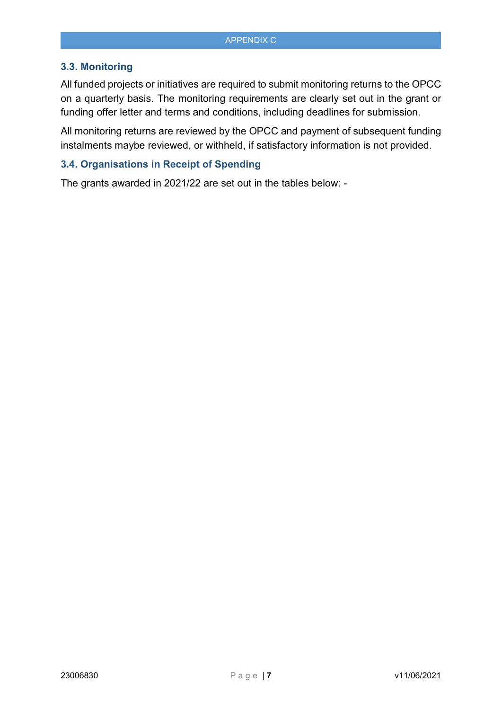#### 3.3. Monitoring

All funded projects or initiatives are required to submit monitoring returns to the OPCC on a quarterly basis. The monitoring requirements are clearly set out in the grant or funding offer letter and terms and conditions, including deadlines for submission.

All monitoring returns are reviewed by the OPCC and payment of subsequent funding instalments maybe reviewed, or withheld, if satisfactory information is not provided.

#### 3.4. Organisations in Receipt of Spending

The grants awarded in 2021/22 are set out in the tables below: -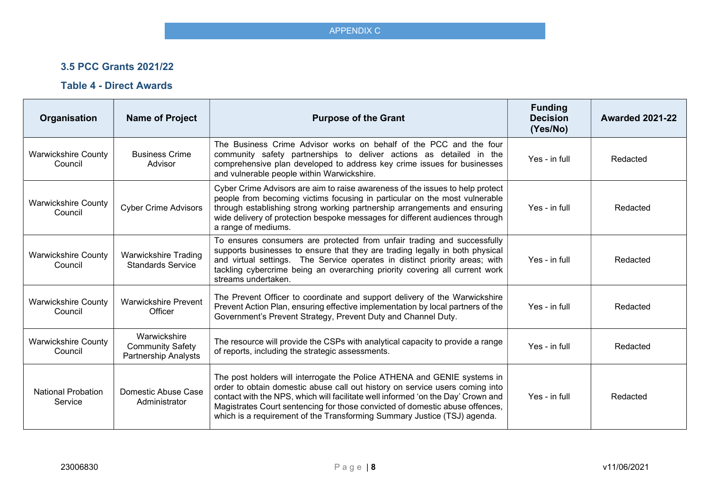## 3.5 PCC Grants 2021/22

## Table 4 - Direct Awards

| Organisation                          | <b>Name of Project</b>                                                 | <b>Purpose of the Grant</b>                                                                                                                                                                                                                                                                                                                                                                              | <b>Funding</b><br><b>Decision</b><br>(Yes/No) | <b>Awarded 2021-22</b> |
|---------------------------------------|------------------------------------------------------------------------|----------------------------------------------------------------------------------------------------------------------------------------------------------------------------------------------------------------------------------------------------------------------------------------------------------------------------------------------------------------------------------------------------------|-----------------------------------------------|------------------------|
| <b>Warwickshire County</b><br>Council | <b>Business Crime</b><br>Advisor                                       | The Business Crime Advisor works on behalf of the PCC and the four<br>community safety partnerships to deliver actions as detailed in the<br>comprehensive plan developed to address key crime issues for businesses<br>and vulnerable people within Warwickshire.                                                                                                                                       | Yes - in full                                 | Redacted               |
| <b>Warwickshire County</b><br>Council | <b>Cyber Crime Advisors</b>                                            | Cyber Crime Advisors are aim to raise awareness of the issues to help protect<br>people from becoming victims focusing in particular on the most vulnerable<br>through establishing strong working partnership arrangements and ensuring<br>wide delivery of protection bespoke messages for different audiences through<br>a range of mediums.                                                          | Yes - in full                                 | Redacted               |
| <b>Warwickshire County</b><br>Council | <b>Warwickshire Trading</b><br><b>Standards Service</b>                | To ensures consumers are protected from unfair trading and successfully<br>supports businesses to ensure that they are trading legally in both physical<br>and virtual settings. The Service operates in distinct priority areas; with<br>tackling cybercrime being an overarching priority covering all current work<br>streams undertaken.                                                             | Yes - in full                                 | Redacted               |
| <b>Warwickshire County</b><br>Council | Warwickshire Prevent<br>Officer                                        | The Prevent Officer to coordinate and support delivery of the Warwickshire<br>Prevent Action Plan, ensuring effective implementation by local partners of the<br>Government's Prevent Strategy, Prevent Duty and Channel Duty.                                                                                                                                                                           | Yes - in full                                 | Redacted               |
| <b>Warwickshire County</b><br>Council | Warwickshire<br><b>Community Safety</b><br><b>Partnership Analysts</b> | The resource will provide the CSPs with analytical capacity to provide a range<br>of reports, including the strategic assessments.                                                                                                                                                                                                                                                                       | Yes - in full                                 | Redacted               |
| <b>National Probation</b><br>Service  | Domestic Abuse Case<br>Administrator                                   | The post holders will interrogate the Police ATHENA and GENIE systems in<br>order to obtain domestic abuse call out history on service users coming into<br>contact with the NPS, which will facilitate well informed 'on the Day' Crown and<br>Magistrates Court sentencing for those convicted of domestic abuse offences,<br>which is a requirement of the Transforming Summary Justice (TSJ) agenda. | Yes - in full                                 | Redacted               |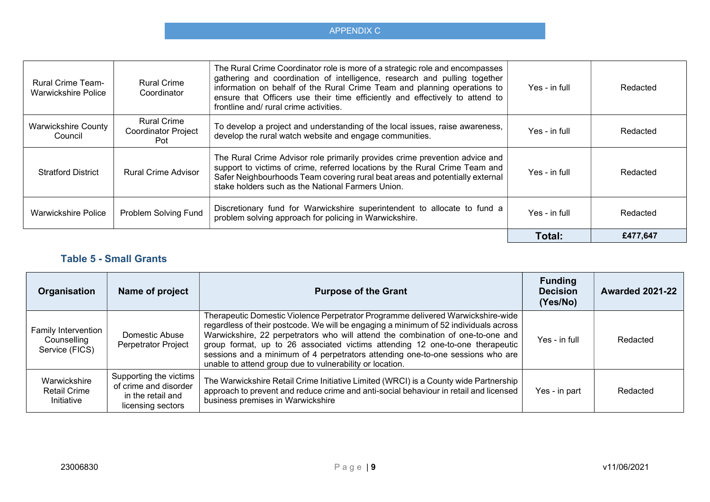| <b>Rural Crime Team-</b><br>Warwickshire Police | <b>Rural Crime</b><br>Coordinator                       | The Rural Crime Coordinator role is more of a strategic role and encompasses<br>gathering and coordination of intelligence, research and pulling together<br>information on behalf of the Rural Crime Team and planning operations to<br>ensure that Officers use their time efficiently and effectively to attend to<br>frontline and/ rural crime activities. | Yes - in full | Redacted |
|-------------------------------------------------|---------------------------------------------------------|-----------------------------------------------------------------------------------------------------------------------------------------------------------------------------------------------------------------------------------------------------------------------------------------------------------------------------------------------------------------|---------------|----------|
| <b>Warwickshire County</b><br>Council           | <b>Rural Crime</b><br><b>Coordinator Project</b><br>Pot | To develop a project and understanding of the local issues, raise awareness,<br>develop the rural watch website and engage communities.                                                                                                                                                                                                                         | Yes - in full | Redacted |
| <b>Stratford District</b>                       | <b>Rural Crime Advisor</b>                              | The Rural Crime Advisor role primarily provides crime prevention advice and<br>support to victims of crime, referred locations by the Rural Crime Team and<br>Safer Neighbourhoods Team covering rural beat areas and potentially external<br>stake holders such as the National Farmers Union.                                                                 | Yes - in full | Redacted |
| <b>Warwickshire Police</b>                      | Problem Solving Fund                                    | Discretionary fund for Warwickshire superintendent to allocate to fund a<br>problem solving approach for policing in Warwickshire.                                                                                                                                                                                                                              | Yes - in full | Redacted |
|                                                 |                                                         |                                                                                                                                                                                                                                                                                                                                                                 | Total:        | £477,647 |

# Table 5 - Small Grants

| Organisation                                         | Name of project                                                                           | <b>Purpose of the Grant</b>                                                                                                                                                                                                                                                                                                                                                                                                                                                               | <b>Funding</b><br><b>Decision</b><br>(Yes/No) | <b>Awarded 2021-22</b> |
|------------------------------------------------------|-------------------------------------------------------------------------------------------|-------------------------------------------------------------------------------------------------------------------------------------------------------------------------------------------------------------------------------------------------------------------------------------------------------------------------------------------------------------------------------------------------------------------------------------------------------------------------------------------|-----------------------------------------------|------------------------|
| Family Intervention<br>Counselling<br>Service (FICS) | Domestic Abuse<br>Perpetrator Project                                                     | Therapeutic Domestic Violence Perpetrator Programme delivered Warwickshire-wide<br>regardless of their postcode. We will be engaging a minimum of 52 individuals across<br>Warwickshire, 22 perpetrators who will attend the combination of one-to-one and<br>group format, up to 26 associated victims attending 12 one-to-one therapeutic<br>sessions and a minimum of 4 perpetrators attending one-to-one sessions who are<br>unable to attend group due to vulnerability or location. | Yes - in full                                 | Redacted               |
| Warwickshire<br><b>Retail Crime</b><br>Initiative    | Supporting the victims<br>of crime and disorder<br>in the retail and<br>licensing sectors | The Warwickshire Retail Crime Initiative Limited (WRCI) is a County wide Partnership<br>approach to prevent and reduce crime and anti-social behaviour in retail and licensed<br>business premises in Warwickshire                                                                                                                                                                                                                                                                        | Yes - in part                                 | Redacted               |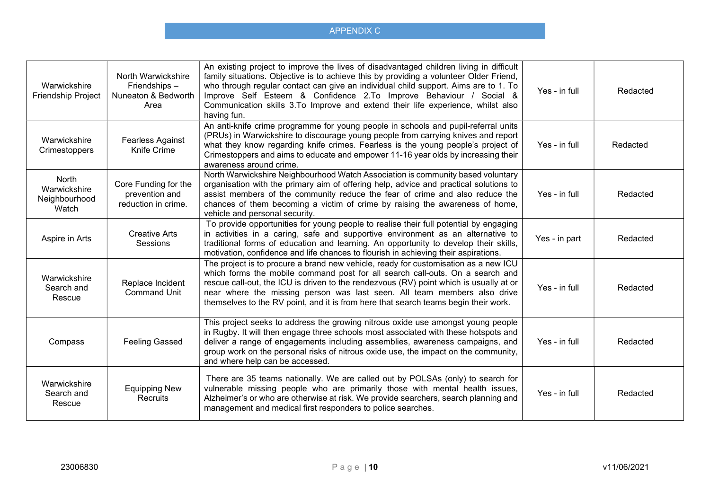| Warwickshire<br><b>Friendship Project</b>              | North Warwickshire<br>Friendships -<br>Nuneaton & Bedworth<br>Area | An existing project to improve the lives of disadvantaged children living in difficult<br>family situations. Objective is to achieve this by providing a volunteer Older Friend,<br>who through regular contact can give an individual child support. Aims are to 1. To<br>Improve Self Esteem & Confidence 2.To Improve Behaviour / Social &<br>Communication skills 3.To Improve and extend their life experience, whilst also<br>having fun. | Yes - in full | Redacted |
|--------------------------------------------------------|--------------------------------------------------------------------|-------------------------------------------------------------------------------------------------------------------------------------------------------------------------------------------------------------------------------------------------------------------------------------------------------------------------------------------------------------------------------------------------------------------------------------------------|---------------|----------|
| Warwickshire<br>Crimestoppers                          | <b>Fearless Against</b><br>Knife Crime                             | An anti-knife crime programme for young people in schools and pupil-referral units<br>(PRUs) in Warwickshire to discourage young people from carrying knives and report<br>what they know regarding knife crimes. Fearless is the young people's project of<br>Crimestoppers and aims to educate and empower 11-16 year olds by increasing their<br>awareness around crime.                                                                     | Yes - in full | Redacted |
| <b>North</b><br>Warwickshire<br>Neighbourhood<br>Watch | Core Funding for the<br>prevention and<br>reduction in crime.      | North Warwickshire Neighbourhood Watch Association is community based voluntary<br>organisation with the primary aim of offering help, advice and practical solutions to<br>assist members of the community reduce the fear of crime and also reduce the<br>chances of them becoming a victim of crime by raising the awareness of home,<br>vehicle and personal security.                                                                      | Yes - in full | Redacted |
| Aspire in Arts                                         | <b>Creative Arts</b><br>Sessions                                   | To provide opportunities for young people to realise their full potential by engaging<br>in activities in a caring, safe and supportive environment as an alternative to<br>traditional forms of education and learning. An opportunity to develop their skills,<br>motivation, confidence and life chances to flourish in achieving their aspirations.                                                                                         | Yes - in part | Redacted |
| Warwickshire<br>Search and<br>Rescue                   | Replace Incident<br><b>Command Unit</b>                            | The project is to procure a brand new vehicle, ready for customisation as a new ICU<br>which forms the mobile command post for all search call-outs. On a search and<br>rescue call-out, the ICU is driven to the rendezvous (RV) point which is usually at or<br>near where the missing person was last seen. All team members also drive<br>themselves to the RV point, and it is from here that search teams begin their work.               | Yes - in full | Redacted |
| Compass                                                | <b>Feeling Gassed</b>                                              | This project seeks to address the growing nitrous oxide use amongst young people<br>in Rugby. It will then engage three schools most associated with these hotspots and<br>deliver a range of engagements including assemblies, awareness campaigns, and<br>group work on the personal risks of nitrous oxide use, the impact on the community,<br>and where help can be accessed.                                                              | Yes - in full | Redacted |
| Warwickshire<br>Search and<br>Rescue                   | <b>Equipping New</b><br>Recruits                                   | There are 35 teams nationally. We are called out by POLSAs (only) to search for<br>vulnerable missing people who are primarily those with mental health issues,<br>Alzheimer's or who are otherwise at risk. We provide searchers, search planning and<br>management and medical first responders to police searches.                                                                                                                           | Yes - in full | Redacted |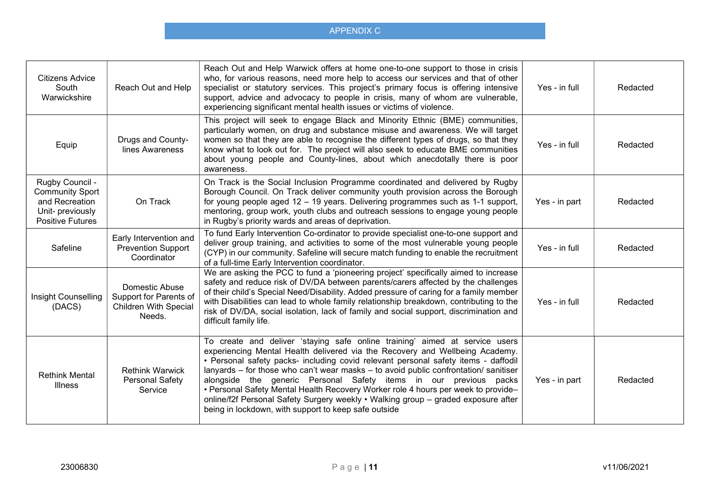| Citizens Advice<br>South<br>Warwickshire                                                                   | Reach Out and Help                                                                 | Reach Out and Help Warwick offers at home one-to-one support to those in crisis<br>who, for various reasons, need more help to access our services and that of other<br>specialist or statutory services. This project's primary focus is offering intensive<br>support, advice and advocacy to people in crisis, many of whom are vulnerable,<br>experiencing significant mental health issues or victims of violence.                                                                                                                                                                                                                          | Yes - in full | Redacted |
|------------------------------------------------------------------------------------------------------------|------------------------------------------------------------------------------------|--------------------------------------------------------------------------------------------------------------------------------------------------------------------------------------------------------------------------------------------------------------------------------------------------------------------------------------------------------------------------------------------------------------------------------------------------------------------------------------------------------------------------------------------------------------------------------------------------------------------------------------------------|---------------|----------|
| Equip                                                                                                      | Drugs and County-<br>lines Awareness                                               | This project will seek to engage Black and Minority Ethnic (BME) communities,<br>particularly women, on drug and substance misuse and awareness. We will target<br>women so that they are able to recognise the different types of drugs, so that they<br>know what to look out for. The project will also seek to educate BME communities<br>about young people and County-lines, about which anecdotally there is poor<br>awareness.                                                                                                                                                                                                           | Yes - in full | Redacted |
| Rugby Council -<br><b>Community Sport</b><br>and Recreation<br>Unit- previously<br><b>Positive Futures</b> | On Track                                                                           | On Track is the Social Inclusion Programme coordinated and delivered by Rugby<br>Borough Council. On Track deliver community youth provision across the Borough<br>for young people aged 12 - 19 years. Delivering programmes such as 1-1 support,<br>mentoring, group work, youth clubs and outreach sessions to engage young people<br>in Rugby's priority wards and areas of deprivation.                                                                                                                                                                                                                                                     | Yes - in part | Redacted |
| Safeline                                                                                                   | Early Intervention and<br><b>Prevention Support</b><br>Coordinator                 | To fund Early Intervention Co-ordinator to provide specialist one-to-one support and<br>deliver group training, and activities to some of the most vulnerable young people<br>(CYP) in our community. Safeline will secure match funding to enable the recruitment<br>of a full-time Early Intervention coordinator.                                                                                                                                                                                                                                                                                                                             | Yes - in full | Redacted |
| Insight Counselling<br>(DACS)                                                                              | Domestic Abuse<br>Support for Parents of<br><b>Children With Special</b><br>Needs. | We are asking the PCC to fund a 'pioneering project' specifically aimed to increase<br>safety and reduce risk of DV/DA between parents/carers affected by the challenges<br>of their child's Special Need/Disability. Added pressure of caring for a family member<br>with Disabilities can lead to whole family relationship breakdown, contributing to the<br>risk of DV/DA, social isolation, lack of family and social support, discrimination and<br>difficult family life.                                                                                                                                                                 | Yes - in full | Redacted |
| <b>Rethink Mental</b><br><b>Illness</b>                                                                    | <b>Rethink Warwick</b><br>Personal Safety<br>Service                               | To create and deliver 'staying safe online training' aimed at service users<br>experiencing Mental Health delivered via the Recovery and Wellbeing Academy.<br>• Personal safety packs- including covid relevant personal safety items - daffodil<br>lanyards - for those who can't wear masks - to avoid public confrontation/ sanitiser<br>alongside the generic Personal Safety items in our previous packs<br>• Personal Safety Mental Health Recovery Worker role 4 hours per week to provide-<br>online/f2f Personal Safety Surgery weekly • Walking group - graded exposure after<br>being in lockdown, with support to keep safe outside | Yes - in part | Redacted |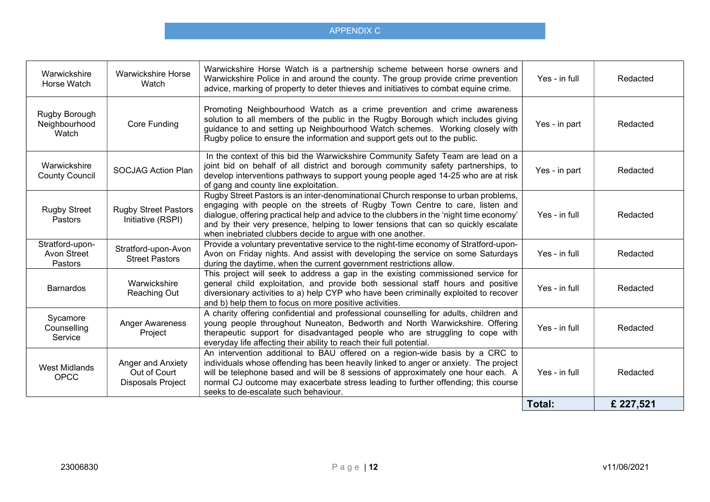| Warwickshire<br>Horse Watch               | <b>Warwickshire Horse</b><br>Watch                            | Warwickshire Horse Watch is a partnership scheme between horse owners and<br>Warwickshire Police in and around the county. The group provide crime prevention<br>advice, marking of property to deter thieves and initiatives to combat equine crime.                                                                                                                                                              | Yes - in full | Redacted |
|-------------------------------------------|---------------------------------------------------------------|--------------------------------------------------------------------------------------------------------------------------------------------------------------------------------------------------------------------------------------------------------------------------------------------------------------------------------------------------------------------------------------------------------------------|---------------|----------|
| Rugby Borough<br>Neighbourhood<br>Watch   | <b>Core Funding</b>                                           | Promoting Neighbourhood Watch as a crime prevention and crime awareness<br>solution to all members of the public in the Rugby Borough which includes giving<br>guidance to and setting up Neighbourhood Watch schemes. Working closely with<br>Rugby police to ensure the information and support gets out to the public.                                                                                          | Yes - in part | Redacted |
| Warwickshire<br><b>County Council</b>     | <b>SOCJAG Action Plan</b>                                     | In the context of this bid the Warwickshire Community Safety Team are lead on a<br>joint bid on behalf of all district and borough community safety partnerships, to<br>develop interventions pathways to support young people aged 14-25 who are at risk<br>of gang and county line exploitation.                                                                                                                 | Yes - in part | Redacted |
| <b>Rugby Street</b><br>Pastors            | <b>Rugby Street Pastors</b><br>Initiative (RSPI)              | Rugby Street Pastors is an inter-denominational Church response to urban problems,<br>engaging with people on the streets of Rugby Town Centre to care, listen and<br>dialogue, offering practical help and advice to the clubbers in the 'night time economy'<br>and by their very presence, helping to lower tensions that can so quickly escalate<br>when inebriated clubbers decide to argue with one another. | Yes - in full | Redacted |
| Stratford-upon-<br>Avon Street<br>Pastors | Stratford-upon-Avon<br><b>Street Pastors</b>                  | Provide a voluntary preventative service to the night-time economy of Stratford-upon-<br>Avon on Friday nights. And assist with developing the service on some Saturdays<br>during the daytime, when the current government restrictions allow.                                                                                                                                                                    | Yes - in full | Redacted |
| <b>Barnardos</b>                          | Warwickshire<br>Reaching Out                                  | This project will seek to address a gap in the existing commissioned service for<br>general child exploitation, and provide both sessional staff hours and positive<br>diversionary activities to a) help CYP who have been criminally exploited to recover<br>and b) help them to focus on more positive activities.                                                                                              | Yes - in full | Redacted |
| Sycamore<br>Counselling<br>Service        | <b>Anger Awareness</b><br>Project                             | A charity offering confidential and professional counselling for adults, children and<br>young people throughout Nuneaton, Bedworth and North Warwickshire. Offering<br>therapeutic support for disadvantaged people who are struggling to cope with<br>everyday life affecting their ability to reach their full potential.                                                                                       | Yes - in full | Redacted |
| <b>West Midlands</b><br><b>OPCC</b>       | Anger and Anxiety<br>Out of Court<br><b>Disposals Project</b> | An intervention additional to BAU offered on a region-wide basis by a CRC to<br>individuals whose offending has been heavily linked to anger or anxiety. The project<br>will be telephone based and will be 8 sessions of approximately one hour each. A<br>normal CJ outcome may exacerbate stress leading to further offending; this course<br>seeks to de-escalate such behaviour.                              | Yes - in full | Redacted |
|                                           |                                                               |                                                                                                                                                                                                                                                                                                                                                                                                                    | Total:        | £227,521 |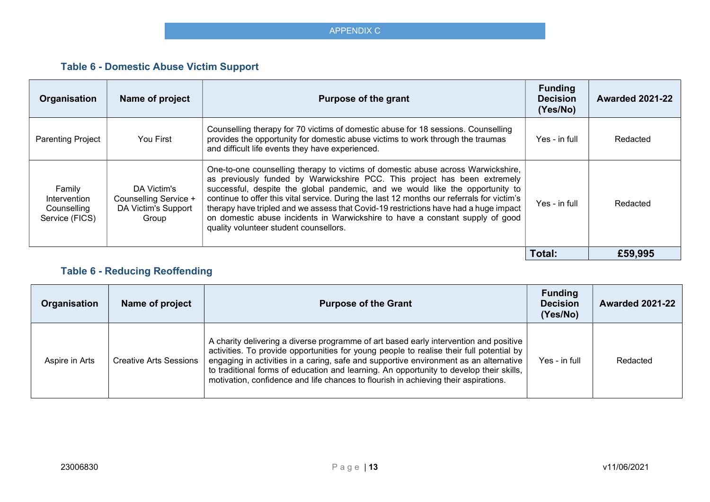# Table 6 - Domestic Abuse Victim Support

| Organisation                                            | Name of project                                                      | <b>Purpose of the grant</b>                                                                                                                                                                                                                                                                                                                                                                                                                                                                                                                                     | <b>Funding</b><br><b>Decision</b><br>(Yes/No) | <b>Awarded 2021-22</b> |
|---------------------------------------------------------|----------------------------------------------------------------------|-----------------------------------------------------------------------------------------------------------------------------------------------------------------------------------------------------------------------------------------------------------------------------------------------------------------------------------------------------------------------------------------------------------------------------------------------------------------------------------------------------------------------------------------------------------------|-----------------------------------------------|------------------------|
| <b>Parenting Project</b>                                | You First                                                            | Counselling therapy for 70 victims of domestic abuse for 18 sessions. Counselling<br>provides the opportunity for domestic abuse victims to work through the traumas<br>and difficult life events they have experienced.                                                                                                                                                                                                                                                                                                                                        | Yes - in full                                 | Redacted               |
| Family<br>Intervention<br>Counselling<br>Service (FICS) | DA Victim's<br>Counselling Service +<br>DA Victim's Support<br>Group | One-to-one counselling therapy to victims of domestic abuse across Warwickshire,<br>as previously funded by Warwickshire PCC. This project has been extremely<br>successful, despite the global pandemic, and we would like the opportunity to<br>continue to offer this vital service. During the last 12 months our referrals for victim's<br>therapy have tripled and we assess that Covid-19 restrictions have had a huge impact<br>on domestic abuse incidents in Warwickshire to have a constant supply of good<br>quality volunteer student counsellors. | Yes - in full                                 | Redacted               |
|                                                         |                                                                      |                                                                                                                                                                                                                                                                                                                                                                                                                                                                                                                                                                 | Total:                                        | £59,995                |

# Table 6 - Reducing Reoffending

| Organisation   | Name of project               | <b>Purpose of the Grant</b>                                                                                                                                                                                                                                                                                                                                                                                                                                  | <b>Funding</b><br><b>Decision</b><br>(Yes/No) | <b>Awarded 2021-22</b> |
|----------------|-------------------------------|--------------------------------------------------------------------------------------------------------------------------------------------------------------------------------------------------------------------------------------------------------------------------------------------------------------------------------------------------------------------------------------------------------------------------------------------------------------|-----------------------------------------------|------------------------|
| Aspire in Arts | <b>Creative Arts Sessions</b> | A charity delivering a diverse programme of art based early intervention and positive<br>activities. To provide opportunities for young people to realise their full potential by<br>engaging in activities in a caring, safe and supportive environment as an alternative<br>to traditional forms of education and learning. An opportunity to develop their skills,<br>motivation, confidence and life chances to flourish in achieving their aspirations. | Yes - in full                                 | Redacted               |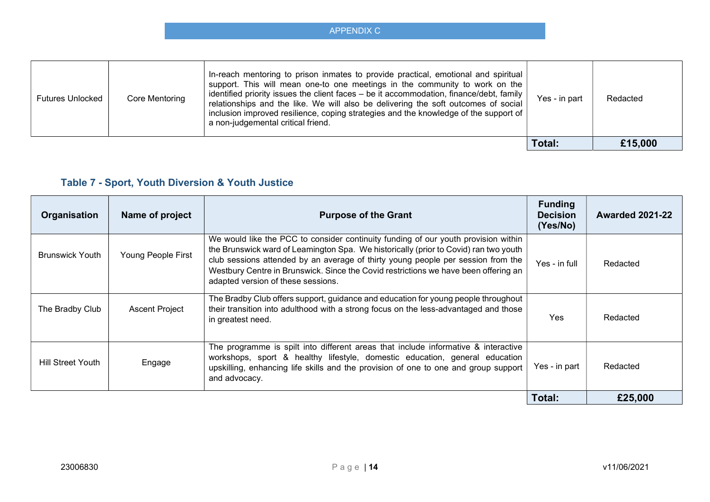| APPENDIX C |  |
|------------|--|

| <b>Futures Unlocked</b> | Core Mentoring | In-reach mentoring to prison inmates to provide practical, emotional and spiritual<br>support. This will mean one-to one meetings in the community to work on the<br>identified priority issues the client faces – be it accommodation, finance/debt, family<br>relationships and the like. We will also be delivering the soft outcomes of social<br>inclusion improved resilience, coping strategies and the knowledge of the support of<br>a non-judgemental critical friend. | Yes - in part | Redacted |
|-------------------------|----------------|----------------------------------------------------------------------------------------------------------------------------------------------------------------------------------------------------------------------------------------------------------------------------------------------------------------------------------------------------------------------------------------------------------------------------------------------------------------------------------|---------------|----------|
|                         |                |                                                                                                                                                                                                                                                                                                                                                                                                                                                                                  | Total:        | £15,000  |

# Table 7 - Sport, Youth Diversion & Youth Justice

| Organisation             | Name of project       | <b>Purpose of the Grant</b>                                                                                                                                                                                                                                                                                                                                                                 | <b>Funding</b><br><b>Decision</b><br>(Yes/No) | <b>Awarded 2021-22</b> |
|--------------------------|-----------------------|---------------------------------------------------------------------------------------------------------------------------------------------------------------------------------------------------------------------------------------------------------------------------------------------------------------------------------------------------------------------------------------------|-----------------------------------------------|------------------------|
| <b>Brunswick Youth</b>   | Young People First    | We would like the PCC to consider continuity funding of our youth provision within<br>the Brunswick ward of Leamington Spa. We historically (prior to Covid) ran two youth<br>club sessions attended by an average of thirty young people per session from the<br>Westbury Centre in Brunswick. Since the Covid restrictions we have been offering an<br>adapted version of these sessions. | Yes - in full                                 | Redacted               |
| The Bradby Club          | <b>Ascent Project</b> | The Bradby Club offers support, guidance and education for young people throughout<br>their transition into adulthood with a strong focus on the less-advantaged and those<br>in greatest need.                                                                                                                                                                                             | <b>Yes</b>                                    | Redacted               |
| <b>Hill Street Youth</b> | Engage                | The programme is spilt into different areas that include informative & interactive<br>workshops, sport & healthy lifestyle, domestic education, general education<br>upskilling, enhancing life skills and the provision of one to one and group support<br>and advocacy.                                                                                                                   | Yes - in part                                 | Redacted               |
|                          |                       |                                                                                                                                                                                                                                                                                                                                                                                             | Total:                                        | £25,000                |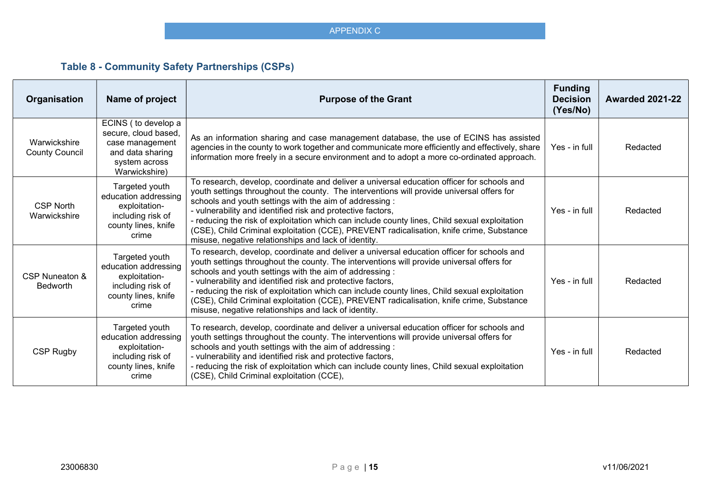# Table 8 - Community Safety Partnerships (CSPs)

| Organisation                          | Name of project                                                                                                      | <b>Purpose of the Grant</b>                                                                                                                                                                                                                                                                                                                                                                                                                                                                                                                                            | <b>Funding</b><br><b>Decision</b><br>(Yes/No) | <b>Awarded 2021-22</b> |
|---------------------------------------|----------------------------------------------------------------------------------------------------------------------|------------------------------------------------------------------------------------------------------------------------------------------------------------------------------------------------------------------------------------------------------------------------------------------------------------------------------------------------------------------------------------------------------------------------------------------------------------------------------------------------------------------------------------------------------------------------|-----------------------------------------------|------------------------|
| Warwickshire<br><b>County Council</b> | ECINS (to develop a<br>secure, cloud based,<br>case management<br>and data sharing<br>system across<br>Warwickshire) | As an information sharing and case management database, the use of ECINS has assisted<br>agencies in the county to work together and communicate more efficiently and effectively, share<br>information more freely in a secure environment and to adopt a more co-ordinated approach.                                                                                                                                                                                                                                                                                 | Yes - in full                                 | Redacted               |
| <b>CSP North</b><br>Warwickshire      | Targeted youth<br>education addressing<br>exploitation-<br>including risk of<br>county lines, knife<br>crime         | To research, develop, coordinate and deliver a universal education officer for schools and<br>youth settings throughout the county. The interventions will provide universal offers for<br>schools and youth settings with the aim of addressing :<br>- vulnerability and identified risk and protective factors,<br>- reducing the risk of exploitation which can include county lines, Child sexual exploitation<br>(CSE), Child Criminal exploitation (CCE), PREVENT radicalisation, knife crime, Substance<br>misuse, negative relationships and lack of identity. | Yes - in full                                 | Redacted               |
| CSP Nuneaton &<br><b>Bedworth</b>     | Targeted youth<br>education addressing<br>exploitation-<br>including risk of<br>county lines, knife<br>crime         | To research, develop, coordinate and deliver a universal education officer for schools and<br>youth settings throughout the county. The interventions will provide universal offers for<br>schools and youth settings with the aim of addressing :<br>- vulnerability and identified risk and protective factors,<br>- reducing the risk of exploitation which can include county lines, Child sexual exploitation<br>(CSE), Child Criminal exploitation (CCE), PREVENT radicalisation, knife crime, Substance<br>misuse, negative relationships and lack of identity. | Yes - in full                                 | Redacted               |
| CSP Rugby                             | Targeted youth<br>education addressing<br>exploitation-<br>including risk of<br>county lines, knife<br>crime         | To research, develop, coordinate and deliver a universal education officer for schools and<br>youth settings throughout the county. The interventions will provide universal offers for<br>schools and youth settings with the aim of addressing :<br>- vulnerability and identified risk and protective factors,<br>- reducing the risk of exploitation which can include county lines, Child sexual exploitation<br>(CSE), Child Criminal exploitation (CCE),                                                                                                        | Yes - in full                                 | Redacted               |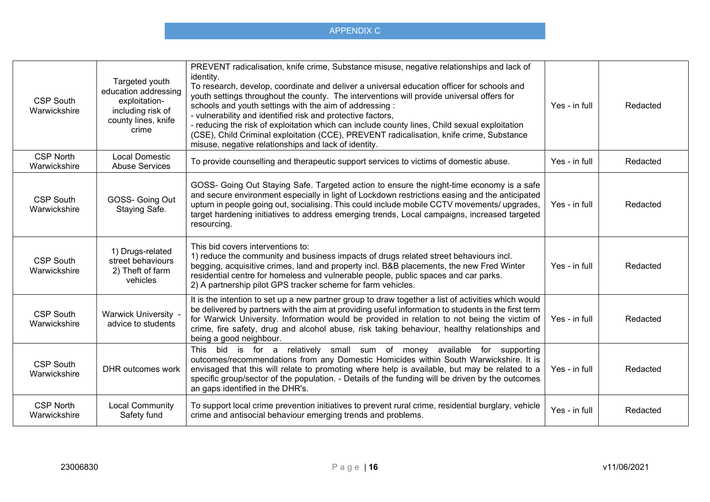| <b>CSP South</b><br>Warwickshire | Targeted youth<br>education addressing<br>exploitation-<br>including risk of<br>county lines, knife<br>crime | PREVENT radicalisation, knife crime, Substance misuse, negative relationships and lack of<br>identity.<br>To research, develop, coordinate and deliver a universal education officer for schools and<br>youth settings throughout the county. The interventions will provide universal offers for<br>schools and youth settings with the aim of addressing :<br>- vulnerability and identified risk and protective factors,<br>- reducing the risk of exploitation which can include county lines, Child sexual exploitation<br>(CSE), Child Criminal exploitation (CCE), PREVENT radicalisation, knife crime, Substance<br>misuse, negative relationships and lack of identity. | Yes - in full | Redacted |
|----------------------------------|--------------------------------------------------------------------------------------------------------------|----------------------------------------------------------------------------------------------------------------------------------------------------------------------------------------------------------------------------------------------------------------------------------------------------------------------------------------------------------------------------------------------------------------------------------------------------------------------------------------------------------------------------------------------------------------------------------------------------------------------------------------------------------------------------------|---------------|----------|
| <b>CSP North</b><br>Warwickshire | <b>Local Domestic</b><br><b>Abuse Services</b>                                                               | To provide counselling and therapeutic support services to victims of domestic abuse.                                                                                                                                                                                                                                                                                                                                                                                                                                                                                                                                                                                            | Yes - in full | Redacted |
| <b>CSP South</b><br>Warwickshire | GOSS- Going Out<br>Staying Safe.                                                                             | GOSS- Going Out Staying Safe. Targeted action to ensure the night-time economy is a safe<br>and secure environment especially in light of Lockdown restrictions easing and the anticipated<br>upturn in people going out, socialising. This could include mobile CCTV movements/ upgrades,<br>target hardening initiatives to address emerging trends, Local campaigns, increased targeted<br>resourcing.                                                                                                                                                                                                                                                                        | Yes - in full | Redacted |
| <b>CSP South</b><br>Warwickshire | 1) Drugs-related<br>street behaviours<br>2) Theft of farm<br>vehicles                                        | This bid covers interventions to:<br>1) reduce the community and business impacts of drugs related street behaviours incl.<br>begging, acquisitive crimes, land and property incl. B&B placements, the new Fred Winter<br>residential centre for homeless and vulnerable people, public spaces and car parks.<br>2) A partnership pilot GPS tracker scheme for farm vehicles.                                                                                                                                                                                                                                                                                                    | Yes - in full | Redacted |
| <b>CSP South</b><br>Warwickshire | Warwick University -<br>advice to students                                                                   | It is the intention to set up a new partner group to draw together a list of activities which would<br>be delivered by partners with the aim at providing useful information to students in the first term<br>for Warwick University. Information would be provided in relation to not being the victim of<br>crime, fire safety, drug and alcohol abuse, risk taking behaviour, healthy relationships and<br>being a good neighbour.                                                                                                                                                                                                                                            | Yes - in full | Redacted |
| <b>CSP South</b><br>Warwickshire | DHR outcomes work                                                                                            | This bid is for a relatively small sum of money available for supporting<br>outcomes/recommendations from any Domestic Homicides within South Warwickshire. It is<br>envisaged that this will relate to promoting where help is available, but may be related to a<br>specific group/sector of the population. - Details of the funding will be driven by the outcomes<br>an gaps identified in the DHR's.                                                                                                                                                                                                                                                                       | Yes - in full | Redacted |
| <b>CSP North</b><br>Warwickshire | <b>Local Community</b><br>Safety fund                                                                        | To support local crime prevention initiatives to prevent rural crime, residential burglary, vehicle<br>crime and antisocial behaviour emerging trends and problems.                                                                                                                                                                                                                                                                                                                                                                                                                                                                                                              | Yes - in full | Redacted |